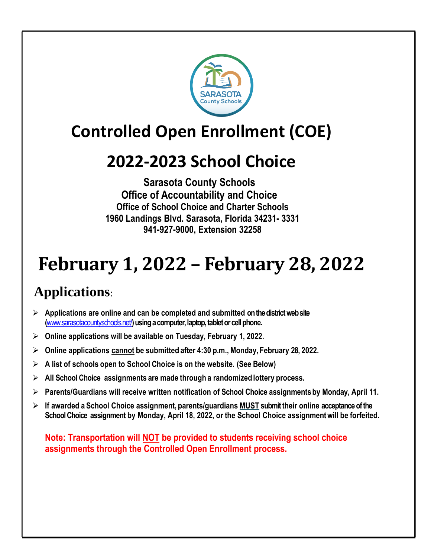

# **Controlled Open Enrollment (COE)**

## **2022-2023 School Choice**

### **Sarasota County Schools Office of Accountability and Choice Office of School Choice and Charter Schools 1960 Landings Blvd. Sarasota, Florida 34231- 3331 941-927-9000, Extension 32258**

# **February 1, 2022 – February 28, 2022**

### **Applications**:

- ➢ **Applications are online and can be completed and submitted on the district web site (**[www.sarasotacountyschools.net/](http://www.sarasotacountyschools.net/)**)using a computer, laptop, tablet or cell phone.**
- ➢ **Online applications will be available on Tuesday, February 1, 2022.**
- ➢ **Online applications cannot be submitted after 4:30 p.m., Monday, February 28, 2022.**
- ➢ **A list of schools open to School Choice is on the website. (See Below)**
- ➢ **All School Choice assignments are made through a randomizedlottery process.**
- ➢ **Parents/Guardians will receive written notification of School Choice assignmentsby Monday, April 11.**
- ➢ **If awarded a School Choice assignment, parents/guardians MUST submit their online acceptance of the School Choice assignment by Monday, April 18, 2022, or the School Choice assignmentwill be forfeited.**

**Note: Transportation will NOT be provided to students receiving school choice assignments through the Controlled Open Enrollment process.**